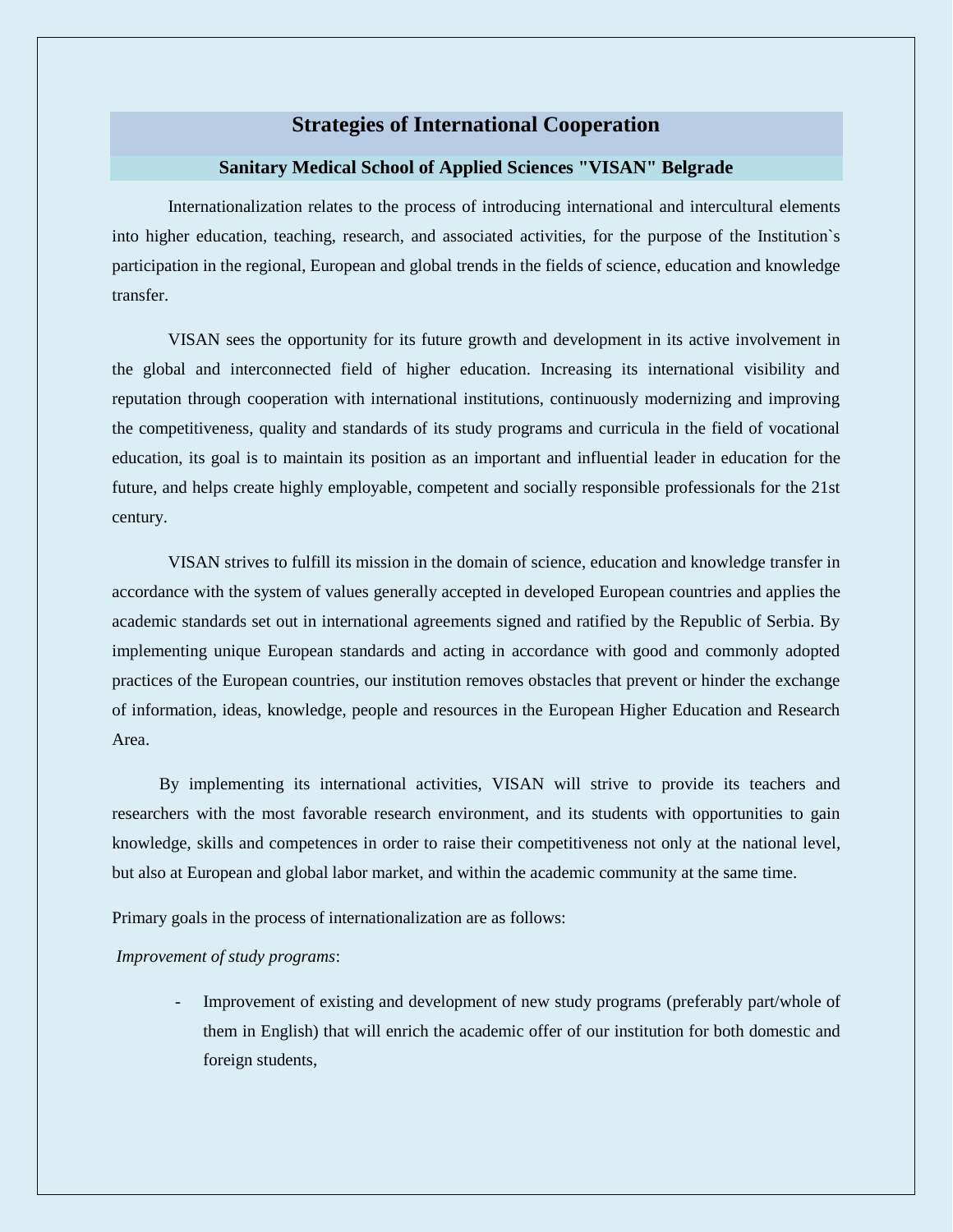# **Strategies of International Cooperation**

### **Sanitary Medical School of Applied Sciences "VISAN" Belgrade**

Internationalization relates to the process of introducing international and intercultural elements into higher education, teaching, research, and associated activities, for the purpose of the Institution`s participation in the regional, European and global trends in the fields of science, education and knowledge transfer.

VISAN sees the opportunity for its future growth and development in its active involvement in the global and interconnected field of higher education. Increasing its international visibility and reputation through cooperation with international institutions, continuously modernizing and improving the competitiveness, quality and standards of its study programs and curricula in the field of vocational education, its goal is to maintain its position as an important and influential leader in education for the future, and helps create highly employable, competent and socially responsible professionals for the 21st century.

VISAN strives to fulfill its mission in the domain of science, education and knowledge transfer in accordance with the system of values generally accepted in developed European countries and applies the academic standards set out in international agreements signed and ratified by the Republic of Serbia. By implementing unique European standards and acting in accordance with good and commonly adopted practices of the European countries, our institution removes obstacles that prevent or hinder the exchange of information, ideas, knowledge, people and resources in the European Higher Education and Research Area.

 By implementing its international activities, VISAN will strive to provide its teachers and researchers with the most favorable research environment, and its students with opportunities to gain knowledge, skills and competences in order to raise their competitiveness not only at the national level, but also at European and global labor market, and within the academic community at the same time.

Primary goals in the process of internationalization are as follows:

#### *Improvement of study programs*:

- Improvement of existing and development of new study programs (preferably part/whole of them in English) that will enrich the academic offer of our institution for both domestic and foreign students,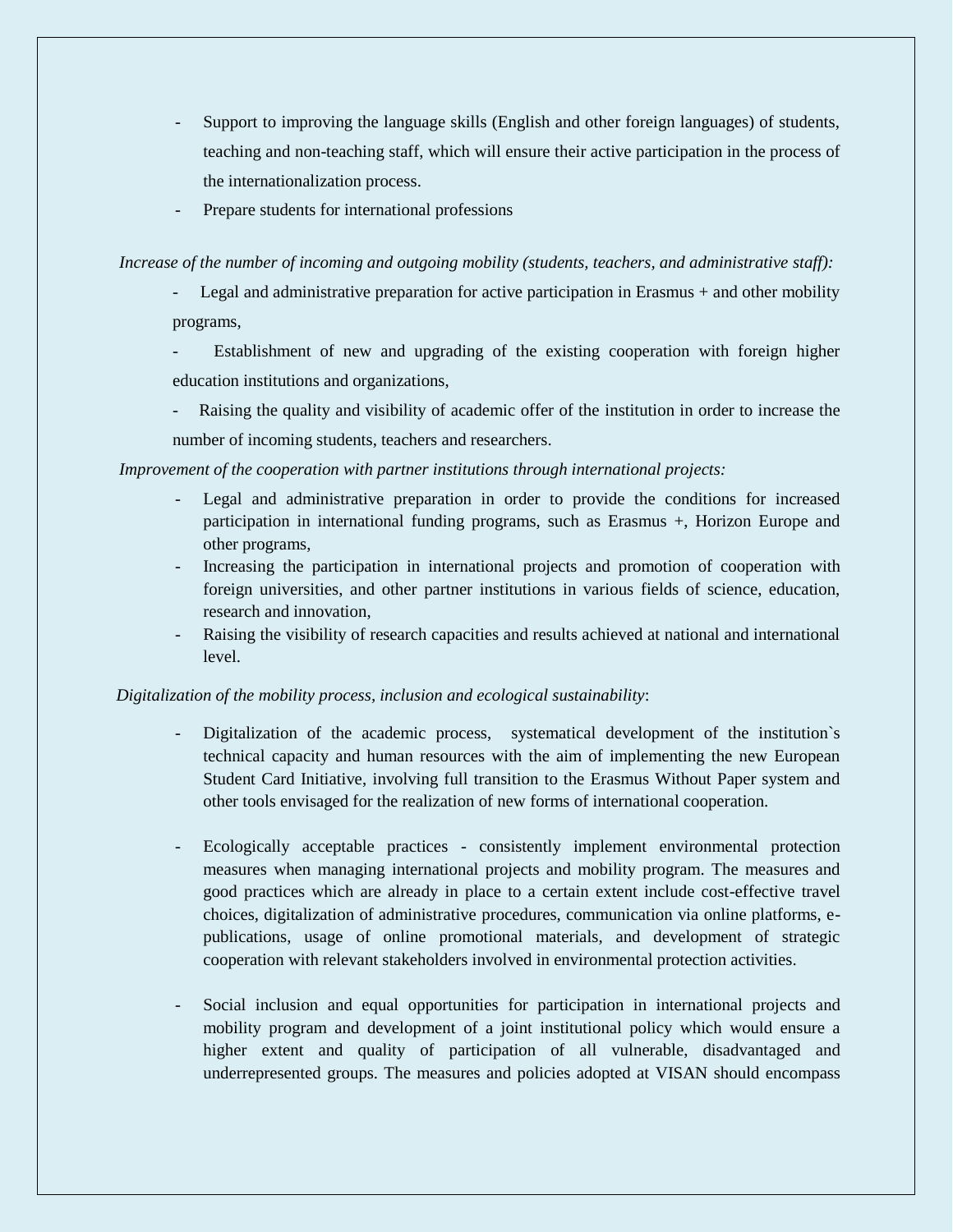- Support to improving the language skills (English and other foreign languages) of students, teaching and non-teaching staff, which will ensure their active participation in the process of the internationalization process.
- Prepare students for international professions

## *Increase of the number of incoming and outgoing mobility (students, teachers, and administrative staff):*

- Legal and administrative preparation for active participation in Erasmus + and other mobility programs,
- Establishment of new and upgrading of the existing cooperation with foreign higher education institutions and organizations,
- Raising the quality and visibility of academic offer of the institution in order to increase the number of incoming students, teachers and researchers.

*Improvement of the cooperation with partner institutions through international projects:*

- Legal and administrative preparation in order to provide the conditions for increased participation in international funding programs, such as Erasmus +, Horizon Europe and other programs,
- Increasing the participation in international projects and promotion of cooperation with foreign universities, and other partner institutions in various fields of science, education, research and innovation,
- Raising the visibility of research capacities and results achieved at national and international level.

## *Digitalization of the mobility process, inclusion and ecological sustainability*:

- Digitalization of the academic process, systematical development of the institution's technical capacity and human resources with the aim of implementing the new European Student Card Initiative, involving full transition to the Erasmus Without Paper system and other tools envisaged for the realization of new forms of international cooperation.
- Ecologically acceptable practices consistently implement environmental protection measures when managing international projects and mobility program. The measures and good practices which are already in place to a certain extent include cost-effective travel choices, digitalization of administrative procedures, communication via online platforms, epublications, usage of online promotional materials, and development of strategic cooperation with relevant stakeholders involved in environmental protection activities.
- Social inclusion and equal opportunities for participation in international projects and mobility program and development of a joint institutional policy which would ensure a higher extent and quality of participation of all vulnerable, disadvantaged and underrepresented groups. The measures and policies adopted at VISAN should encompass